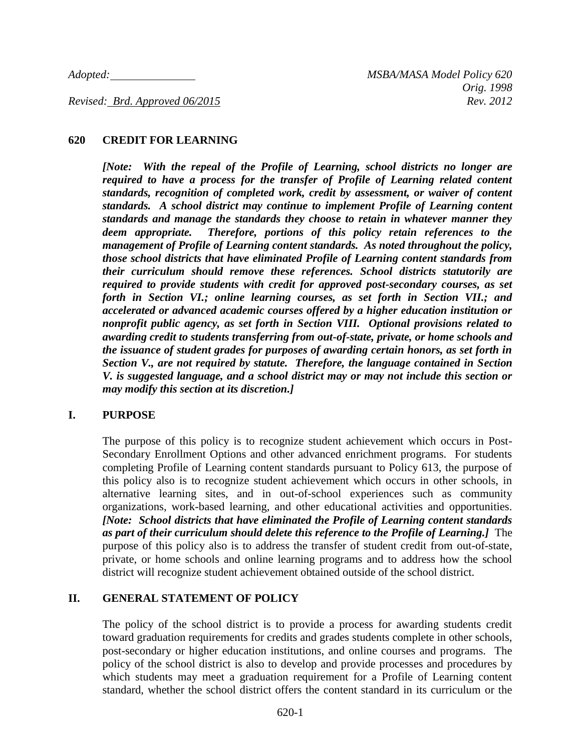*Revised: Brd. Approved 06/2015 Rev. 2012*

#### **620 CREDIT FOR LEARNING**

*[Note: With the repeal of the Profile of Learning, school districts no longer are required to have a process for the transfer of Profile of Learning related content standards, recognition of completed work, credit by assessment, or waiver of content standards. A school district may continue to implement Profile of Learning content standards and manage the standards they choose to retain in whatever manner they deem appropriate. Therefore, portions of this policy retain references to the management of Profile of Learning content standards. As noted throughout the policy, those school districts that have eliminated Profile of Learning content standards from their curriculum should remove these references. School districts statutorily are required to provide students with credit for approved post-secondary courses, as set forth in Section VI.; online learning courses, as set forth in Section VII.; and accelerated or advanced academic courses offered by a higher education institution or nonprofit public agency, as set forth in Section VIII. Optional provisions related to awarding credit to students transferring from out-of-state, private, or home schools and the issuance of student grades for purposes of awarding certain honors, as set forth in Section V., are not required by statute. Therefore, the language contained in Section V. is suggested language, and a school district may or may not include this section or may modify this section at its discretion.]*

#### **I. PURPOSE**

The purpose of this policy is to recognize student achievement which occurs in Post-Secondary Enrollment Options and other advanced enrichment programs. For students completing Profile of Learning content standards pursuant to Policy 613, the purpose of this policy also is to recognize student achievement which occurs in other schools, in alternative learning sites, and in out-of-school experiences such as community organizations, work-based learning, and other educational activities and opportunities. *[Note: School districts that have eliminated the Profile of Learning content standards as part of their curriculum should delete this reference to the Profile of Learning.]* The purpose of this policy also is to address the transfer of student credit from out-of-state, private, or home schools and online learning programs and to address how the school district will recognize student achievement obtained outside of the school district.

#### **II. GENERAL STATEMENT OF POLICY**

The policy of the school district is to provide a process for awarding students credit toward graduation requirements for credits and grades students complete in other schools, post-secondary or higher education institutions, and online courses and programs. The policy of the school district is also to develop and provide processes and procedures by which students may meet a graduation requirement for a Profile of Learning content standard, whether the school district offers the content standard in its curriculum or the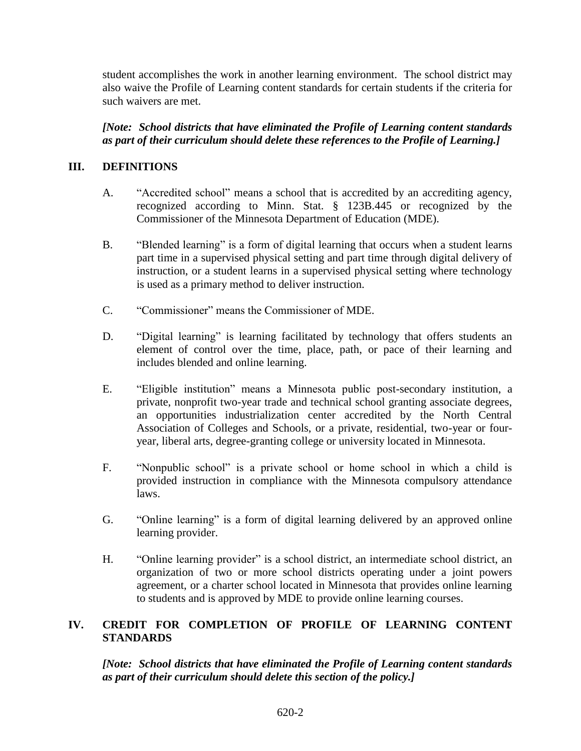student accomplishes the work in another learning environment. The school district may also waive the Profile of Learning content standards for certain students if the criteria for such waivers are met.

*[Note: School districts that have eliminated the Profile of Learning content standards as part of their curriculum should delete these references to the Profile of Learning.]*

## **III. DEFINITIONS**

- A. "Accredited school" means a school that is accredited by an accrediting agency, recognized according to Minn. Stat. § 123B.445 or recognized by the Commissioner of the Minnesota Department of Education (MDE).
- B. "Blended learning" is a form of digital learning that occurs when a student learns part time in a supervised physical setting and part time through digital delivery of instruction, or a student learns in a supervised physical setting where technology is used as a primary method to deliver instruction.
- C. "Commissioner" means the Commissioner of MDE.
- D. "Digital learning" is learning facilitated by technology that offers students an element of control over the time, place, path, or pace of their learning and includes blended and online learning.
- E. "Eligible institution" means a Minnesota public post-secondary institution, a private, nonprofit two-year trade and technical school granting associate degrees, an opportunities industrialization center accredited by the North Central Association of Colleges and Schools, or a private, residential, two-year or fouryear, liberal arts, degree-granting college or university located in Minnesota.
- F. "Nonpublic school" is a private school or home school in which a child is provided instruction in compliance with the Minnesota compulsory attendance laws.
- G. "Online learning" is a form of digital learning delivered by an approved online learning provider.
- H. "Online learning provider" is a school district, an intermediate school district, an organization of two or more school districts operating under a joint powers agreement, or a charter school located in Minnesota that provides online learning to students and is approved by MDE to provide online learning courses.

## **IV. CREDIT FOR COMPLETION OF PROFILE OF LEARNING CONTENT STANDARDS**

*[Note: School districts that have eliminated the Profile of Learning content standards as part of their curriculum should delete this section of the policy.]*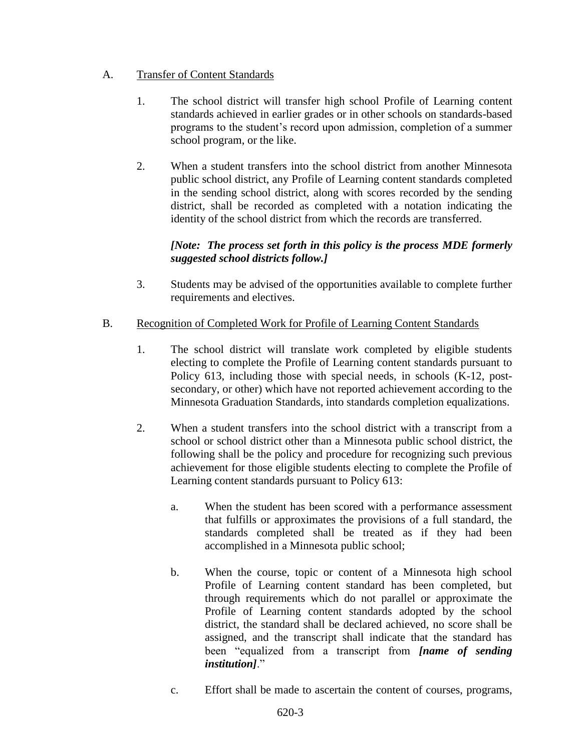- A. Transfer of Content Standards
	- 1. The school district will transfer high school Profile of Learning content standards achieved in earlier grades or in other schools on standards-based programs to the student's record upon admission, completion of a summer school program, or the like.
	- 2. When a student transfers into the school district from another Minnesota public school district, any Profile of Learning content standards completed in the sending school district, along with scores recorded by the sending district, shall be recorded as completed with a notation indicating the identity of the school district from which the records are transferred.

## *[Note: The process set forth in this policy is the process MDE formerly suggested school districts follow.]*

3. Students may be advised of the opportunities available to complete further requirements and electives.

## B. Recognition of Completed Work for Profile of Learning Content Standards

- 1. The school district will translate work completed by eligible students electing to complete the Profile of Learning content standards pursuant to Policy 613, including those with special needs, in schools (K-12, postsecondary, or other) which have not reported achievement according to the Minnesota Graduation Standards, into standards completion equalizations.
- 2. When a student transfers into the school district with a transcript from a school or school district other than a Minnesota public school district, the following shall be the policy and procedure for recognizing such previous achievement for those eligible students electing to complete the Profile of Learning content standards pursuant to Policy 613:
	- a. When the student has been scored with a performance assessment that fulfills or approximates the provisions of a full standard, the standards completed shall be treated as if they had been accomplished in a Minnesota public school;
	- b. When the course, topic or content of a Minnesota high school Profile of Learning content standard has been completed, but through requirements which do not parallel or approximate the Profile of Learning content standards adopted by the school district, the standard shall be declared achieved, no score shall be assigned, and the transcript shall indicate that the standard has been "equalized from a transcript from *[name of sending institution]*."
	- c. Effort shall be made to ascertain the content of courses, programs,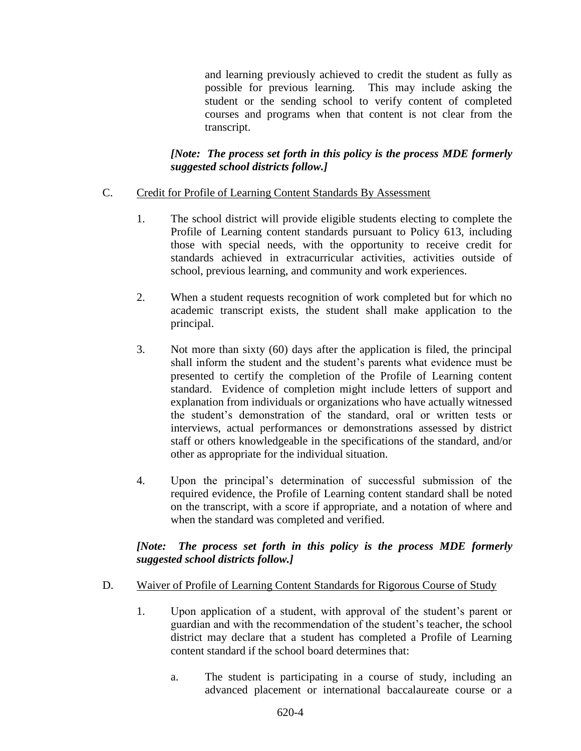and learning previously achieved to credit the student as fully as possible for previous learning. This may include asking the student or the sending school to verify content of completed courses and programs when that content is not clear from the transcript.

*[Note: The process set forth in this policy is the process MDE formerly suggested school districts follow.]*

## C. Credit for Profile of Learning Content Standards By Assessment

- 1. The school district will provide eligible students electing to complete the Profile of Learning content standards pursuant to Policy 613, including those with special needs, with the opportunity to receive credit for standards achieved in extracurricular activities, activities outside of school, previous learning, and community and work experiences.
- 2. When a student requests recognition of work completed but for which no academic transcript exists, the student shall make application to the principal.
- 3. Not more than sixty (60) days after the application is filed, the principal shall inform the student and the student's parents what evidence must be presented to certify the completion of the Profile of Learning content standard. Evidence of completion might include letters of support and explanation from individuals or organizations who have actually witnessed the student's demonstration of the standard, oral or written tests or interviews, actual performances or demonstrations assessed by district staff or others knowledgeable in the specifications of the standard, and/or other as appropriate for the individual situation.
- 4. Upon the principal's determination of successful submission of the required evidence, the Profile of Learning content standard shall be noted on the transcript, with a score if appropriate, and a notation of where and when the standard was completed and verified.

## *[Note: The process set forth in this policy is the process MDE formerly suggested school districts follow.]*

- D. Waiver of Profile of Learning Content Standards for Rigorous Course of Study
	- 1. Upon application of a student, with approval of the student's parent or guardian and with the recommendation of the student's teacher, the school district may declare that a student has completed a Profile of Learning content standard if the school board determines that:
		- a. The student is participating in a course of study, including an advanced placement or international baccalaureate course or a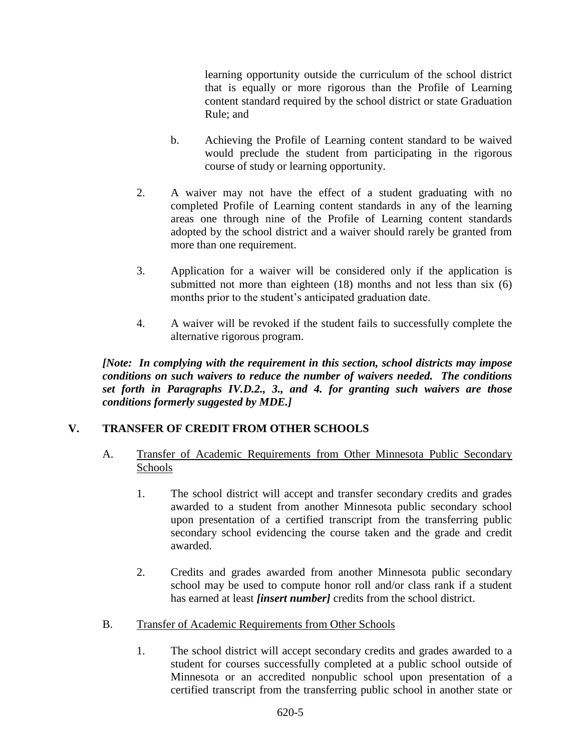learning opportunity outside the curriculum of the school district that is equally or more rigorous than the Profile of Learning content standard required by the school district or state Graduation Rule; and

- b. Achieving the Profile of Learning content standard to be waived would preclude the student from participating in the rigorous course of study or learning opportunity.
- 2. A waiver may not have the effect of a student graduating with no completed Profile of Learning content standards in any of the learning areas one through nine of the Profile of Learning content standards adopted by the school district and a waiver should rarely be granted from more than one requirement.
- 3. Application for a waiver will be considered only if the application is submitted not more than eighteen (18) months and not less than six (6) months prior to the student's anticipated graduation date.
- 4. A waiver will be revoked if the student fails to successfully complete the alternative rigorous program.

*[Note: In complying with the requirement in this section, school districts may impose conditions on such waivers to reduce the number of waivers needed. The conditions set forth in Paragraphs IV.D.2., 3., and 4. for granting such waivers are those conditions formerly suggested by MDE.]*

# **V. TRANSFER OF CREDIT FROM OTHER SCHOOLS**

- A. Transfer of Academic Requirements from Other Minnesota Public Secondary Schools
	- 1. The school district will accept and transfer secondary credits and grades awarded to a student from another Minnesota public secondary school upon presentation of a certified transcript from the transferring public secondary school evidencing the course taken and the grade and credit awarded.
	- 2. Credits and grades awarded from another Minnesota public secondary school may be used to compute honor roll and/or class rank if a student has earned at least *[insert number]* credits from the school district.
- B. Transfer of Academic Requirements from Other Schools
	- 1. The school district will accept secondary credits and grades awarded to a student for courses successfully completed at a public school outside of Minnesota or an accredited nonpublic school upon presentation of a certified transcript from the transferring public school in another state or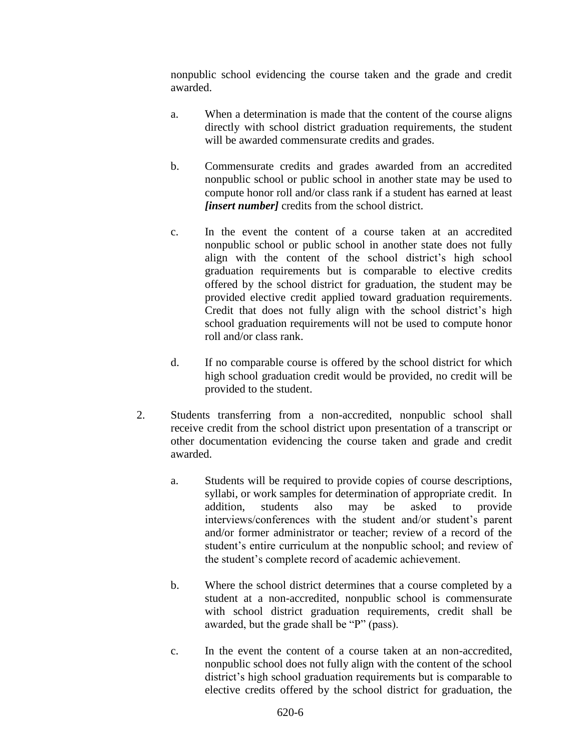nonpublic school evidencing the course taken and the grade and credit awarded.

- a. When a determination is made that the content of the course aligns directly with school district graduation requirements, the student will be awarded commensurate credits and grades.
- b. Commensurate credits and grades awarded from an accredited nonpublic school or public school in another state may be used to compute honor roll and/or class rank if a student has earned at least *[insert number]* credits from the school district.
- c. In the event the content of a course taken at an accredited nonpublic school or public school in another state does not fully align with the content of the school district's high school graduation requirements but is comparable to elective credits offered by the school district for graduation, the student may be provided elective credit applied toward graduation requirements. Credit that does not fully align with the school district's high school graduation requirements will not be used to compute honor roll and/or class rank.
- d. If no comparable course is offered by the school district for which high school graduation credit would be provided, no credit will be provided to the student.
- 2. Students transferring from a non-accredited, nonpublic school shall receive credit from the school district upon presentation of a transcript or other documentation evidencing the course taken and grade and credit awarded.
	- a. Students will be required to provide copies of course descriptions, syllabi, or work samples for determination of appropriate credit. In addition, students also may be asked to provide interviews/conferences with the student and/or student's parent and/or former administrator or teacher; review of a record of the student's entire curriculum at the nonpublic school; and review of the student's complete record of academic achievement.
	- b. Where the school district determines that a course completed by a student at a non-accredited, nonpublic school is commensurate with school district graduation requirements, credit shall be awarded, but the grade shall be "P" (pass).
	- c. In the event the content of a course taken at an non-accredited, nonpublic school does not fully align with the content of the school district's high school graduation requirements but is comparable to elective credits offered by the school district for graduation, the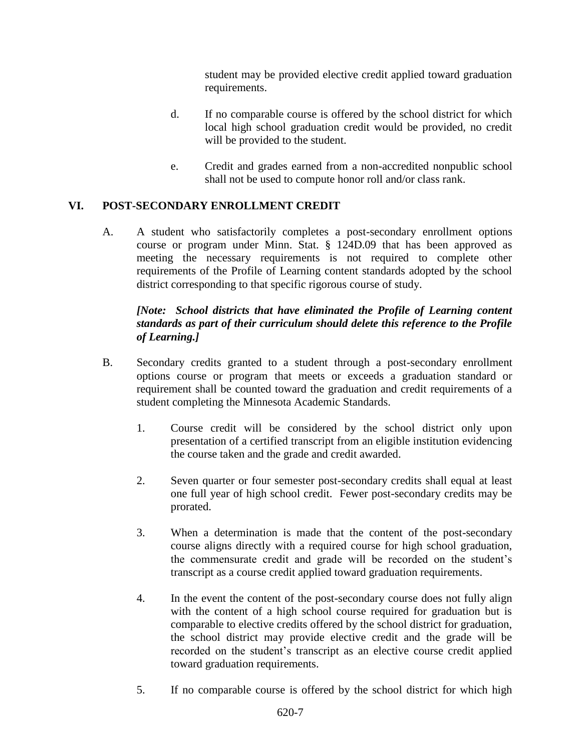student may be provided elective credit applied toward graduation requirements.

- d. If no comparable course is offered by the school district for which local high school graduation credit would be provided, no credit will be provided to the student.
- e. Credit and grades earned from a non-accredited nonpublic school shall not be used to compute honor roll and/or class rank.

# **VI. POST-SECONDARY ENROLLMENT CREDIT**

A. A student who satisfactorily completes a post-secondary enrollment options course or program under Minn. Stat. § 124D.09 that has been approved as meeting the necessary requirements is not required to complete other requirements of the Profile of Learning content standards adopted by the school district corresponding to that specific rigorous course of study.

## *[Note: School districts that have eliminated the Profile of Learning content standards as part of their curriculum should delete this reference to the Profile of Learning.]*

- B. Secondary credits granted to a student through a post-secondary enrollment options course or program that meets or exceeds a graduation standard or requirement shall be counted toward the graduation and credit requirements of a student completing the Minnesota Academic Standards.
	- 1. Course credit will be considered by the school district only upon presentation of a certified transcript from an eligible institution evidencing the course taken and the grade and credit awarded.
	- 2. Seven quarter or four semester post-secondary credits shall equal at least one full year of high school credit. Fewer post-secondary credits may be prorated.
	- 3. When a determination is made that the content of the post-secondary course aligns directly with a required course for high school graduation, the commensurate credit and grade will be recorded on the student's transcript as a course credit applied toward graduation requirements.
	- 4. In the event the content of the post-secondary course does not fully align with the content of a high school course required for graduation but is comparable to elective credits offered by the school district for graduation, the school district may provide elective credit and the grade will be recorded on the student's transcript as an elective course credit applied toward graduation requirements.
	- 5. If no comparable course is offered by the school district for which high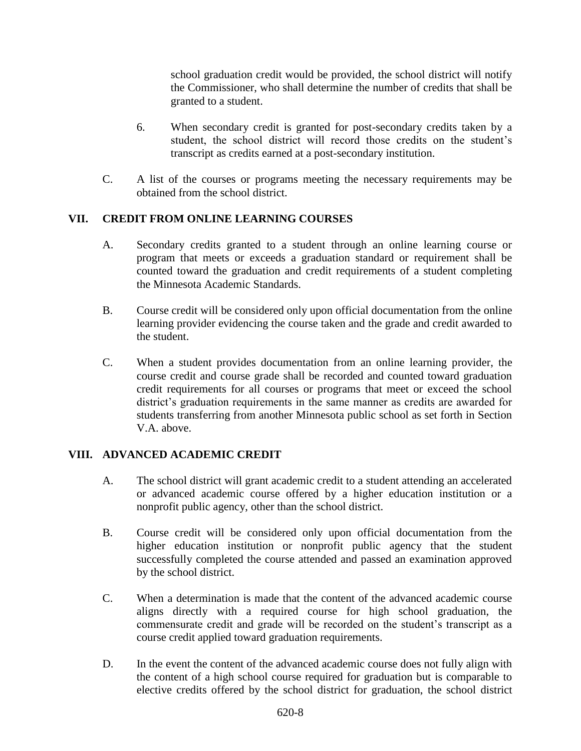school graduation credit would be provided, the school district will notify the Commissioner, who shall determine the number of credits that shall be granted to a student.

- 6. When secondary credit is granted for post-secondary credits taken by a student, the school district will record those credits on the student's transcript as credits earned at a post-secondary institution.
- C. A list of the courses or programs meeting the necessary requirements may be obtained from the school district.

## **VII. CREDIT FROM ONLINE LEARNING COURSES**

- A. Secondary credits granted to a student through an online learning course or program that meets or exceeds a graduation standard or requirement shall be counted toward the graduation and credit requirements of a student completing the Minnesota Academic Standards.
- B. Course credit will be considered only upon official documentation from the online learning provider evidencing the course taken and the grade and credit awarded to the student.
- C. When a student provides documentation from an online learning provider, the course credit and course grade shall be recorded and counted toward graduation credit requirements for all courses or programs that meet or exceed the school district's graduation requirements in the same manner as credits are awarded for students transferring from another Minnesota public school as set forth in Section V.A. above.

## **VIII. ADVANCED ACADEMIC CREDIT**

- A. The school district will grant academic credit to a student attending an accelerated or advanced academic course offered by a higher education institution or a nonprofit public agency, other than the school district.
- B. Course credit will be considered only upon official documentation from the higher education institution or nonprofit public agency that the student successfully completed the course attended and passed an examination approved by the school district.
- C. When a determination is made that the content of the advanced academic course aligns directly with a required course for high school graduation, the commensurate credit and grade will be recorded on the student's transcript as a course credit applied toward graduation requirements.
- D. In the event the content of the advanced academic course does not fully align with the content of a high school course required for graduation but is comparable to elective credits offered by the school district for graduation, the school district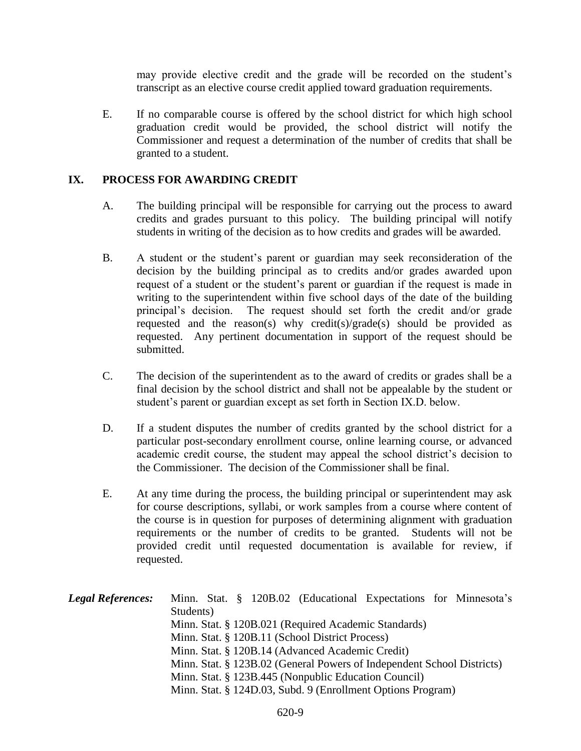may provide elective credit and the grade will be recorded on the student's transcript as an elective course credit applied toward graduation requirements.

E. If no comparable course is offered by the school district for which high school graduation credit would be provided, the school district will notify the Commissioner and request a determination of the number of credits that shall be granted to a student.

#### **IX. PROCESS FOR AWARDING CREDIT**

- A. The building principal will be responsible for carrying out the process to award credits and grades pursuant to this policy. The building principal will notify students in writing of the decision as to how credits and grades will be awarded.
- B. A student or the student's parent or guardian may seek reconsideration of the decision by the building principal as to credits and/or grades awarded upon request of a student or the student's parent or guardian if the request is made in writing to the superintendent within five school days of the date of the building principal's decision. The request should set forth the credit and/or grade requested and the reason(s) why credit(s)/grade(s) should be provided as requested. Any pertinent documentation in support of the request should be submitted.
- C. The decision of the superintendent as to the award of credits or grades shall be a final decision by the school district and shall not be appealable by the student or student's parent or guardian except as set forth in Section IX.D. below.
- D. If a student disputes the number of credits granted by the school district for a particular post-secondary enrollment course, online learning course, or advanced academic credit course, the student may appeal the school district's decision to the Commissioner. The decision of the Commissioner shall be final.
- E. At any time during the process, the building principal or superintendent may ask for course descriptions, syllabi, or work samples from a course where content of the course is in question for purposes of determining alignment with graduation requirements or the number of credits to be granted. Students will not be provided credit until requested documentation is available for review, if requested.

| <b>Legal References:</b> |                                                                        |                                                             |  |  | Minn. Stat. § 120B.02 (Educational Expectations for Minnesota's |  |  |  |
|--------------------------|------------------------------------------------------------------------|-------------------------------------------------------------|--|--|-----------------------------------------------------------------|--|--|--|
|                          | Students)                                                              |                                                             |  |  |                                                                 |  |  |  |
|                          | Minn. Stat. § 120B.021 (Required Academic Standards)                   |                                                             |  |  |                                                                 |  |  |  |
|                          | Minn. Stat. § 120B.11 (School District Process)                        |                                                             |  |  |                                                                 |  |  |  |
|                          | Minn. Stat. § 120B.14 (Advanced Academic Credit)                       |                                                             |  |  |                                                                 |  |  |  |
|                          | Minn. Stat. § 123B.02 (General Powers of Independent School Districts) |                                                             |  |  |                                                                 |  |  |  |
|                          | Minn. Stat. § 123B.445 (Nonpublic Education Council)                   |                                                             |  |  |                                                                 |  |  |  |
|                          |                                                                        | Minn. Stat. § 124D.03, Subd. 9 (Enrollment Options Program) |  |  |                                                                 |  |  |  |